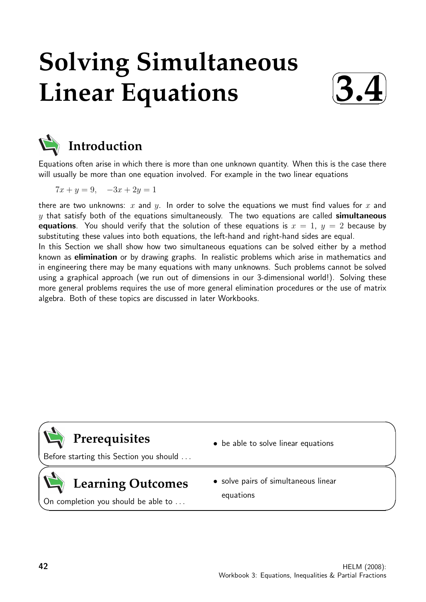# **Solving Simultaneous Linear Equations**





# **Introduction**

Equations often arise in which there is more than one unknown quantity. When this is the case there will usually be more than one equation involved. For example in the two linear equations

$$
7x + y = 9, \quad -3x + 2y = 1
$$

there are two unknowns: x and y. In order to solve the equations we must find values for x and  $y$  that satisfy both of the equations simultaneously. The two equations are called simultaneous **equations**. You should verify that the solution of these equations is  $x = 1$ ,  $y = 2$  because by substituting these values into both equations, the left-hand and right-hand sides are equal. In this Section we shall show how two simultaneous equations can be solved either by a method known as elimination or by drawing graphs. In realistic problems which arise in mathematics and in engineering there may be many equations with many unknowns. Such problems cannot be solved using a graphical approach (we run out of dimensions in our 3-dimensional world!). Solving these more general problems requires the use of more general elimination procedures or the use of matrix algebra. Both of these topics are discussed in later Workbooks.

# **Prerequisites**

Before starting this Section you should . . .

# **Learning Outcomes**

- be able to solve linear equations
- solve pairs of simultaneous linear equations

On completion you should be able to . . .

 $\overline{\phantom{0}}$ 

 $\geq$ 

 $\geq$ 

 $\overline{\phantom{0}}$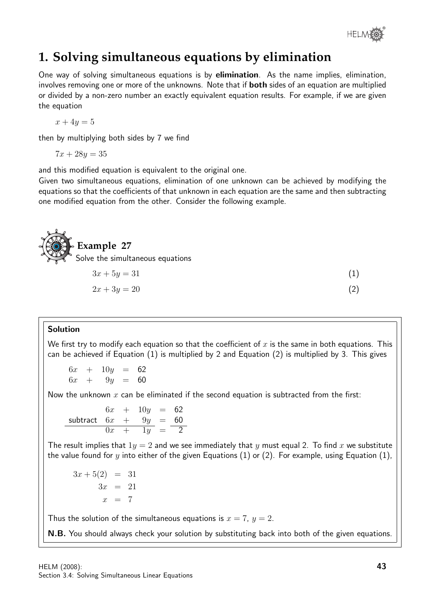

# **1. Solving simultaneous equations by elimination**

One way of solving simultaneous equations is by elimination. As the name implies, elimination, involves removing one or more of the unknowns. Note that if **both** sides of an equation are multiplied or divided by a non-zero number an exactly equivalent equation results. For example, if we are given the equation

$$
x + 4y = 5
$$

then by multiplying both sides by 7 we find

$$
7x + 28y = 35
$$

and this modified equation is equivalent to the original one.

Given two simultaneous equations, elimination of one unknown can be achieved by modifying the equations so that the coefficients of that unknown in each equation are the same and then subtracting one modified equation from the other. Consider the following example.



# $2x + 3y = 20$  (2)

#### Solution

We first try to modify each equation so that the coefficient of  $x$  is the same in both equations. This can be achieved if Equation (1) is multiplied by 2 and Equation (2) is multiplied by 3. This gives

 $6x + 10y = 62$  $6x + 9y = 60$ 

Now the unknown  $x$  can be eliminated if the second equation is subtracted from the first:

$$
6x + 10y = 62
$$
  
subtract 
$$
6x + 9y = 60
$$
  

$$
0x + 1y = 2
$$

The result implies that  $1y = 2$  and we see immediately that y must equal 2. To find x we substitute the value found for y into either of the given Equations (1) or (2). For example, using Equation (1),

 $3x + 5(2) = 31$  $3x = 21$  $x = 7$ 

Thus the solution of the simultaneous equations is  $x = 7$ ,  $y = 2$ .

N.B. You should always check your solution by substituting back into both of the given equations.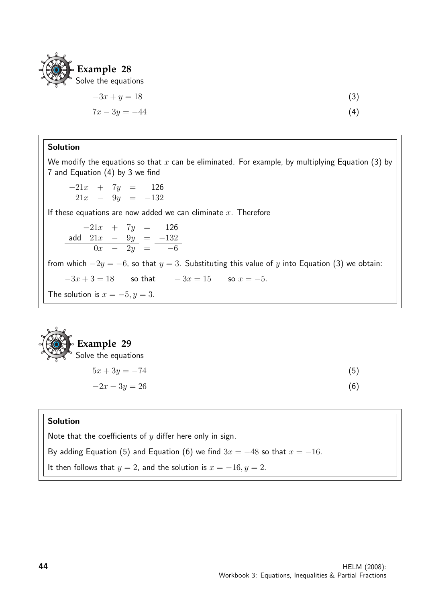

$$
-3x + y = 18
$$
(3)  

$$
7x - 3y = -44
$$
(4)

#### Solution

We modify the equations so that  $x$  can be eliminated. For example, by multiplying Equation (3) by 7 and Equation (4) by 3 we find

 $-21x + 7y = 126$  $21x - 9y = -132$ 

If these equations are now added we can eliminate  $x$ . Therefore

 $-21x + 7y = 126$ add  $21x - 9y = -132$  $0x - 2y = -6$ 

from which  $-2y = -6$ , so that  $y = 3$ . Substituting this value of y into Equation (3) we obtain:

 $-3x + 3 = 18$  so that  $-3x = 15$  so  $x = -5$ .

The solution is  $x = -5, y = 3$ .



$$
5x + 3y = -74
$$
(5)  

$$
-2x - 3y = 26
$$
(6)

#### Solution

Note that the coefficients of  $y$  differ here only in sign.

By adding Equation (5) and Equation (6) we find  $3x = -48$  so that  $x = -16$ .

It then follows that  $y = 2$ , and the solution is  $x = -16, y = 2$ .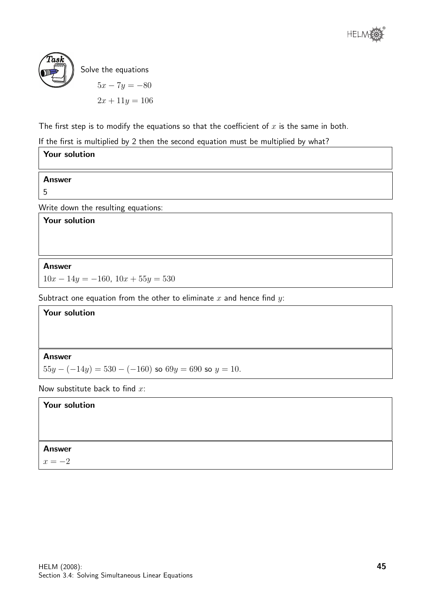



Solve the equations

$$
5x - 7y = -80
$$

$$
2x + 11y = 106
$$

The first step is to modify the equations so that the coefficient of  $x$  is the same in both.

If the first is multiplied by 2 then the second equation must be multiplied by what?

| <b>Your solution</b>                |
|-------------------------------------|
| <b>Answer</b>                       |
| 5                                   |
|                                     |
| Write down the resulting equations: |
| <b>Your solution</b>                |
|                                     |
|                                     |
|                                     |

Answer

 $10x - 14y = -160$ ,  $10x + 55y = 530$ 

Subtract one equation from the other to eliminate  $x$  and hence find  $y$ :

**Your solution**  
**Answer**  

$$
55y - (-14y) = 530 - (-160)
$$
 so  $69y = 690$  so  $y = 10$ .

Now substitute back to find  $x$ :

Your solution

#### Answer

 $x = -2$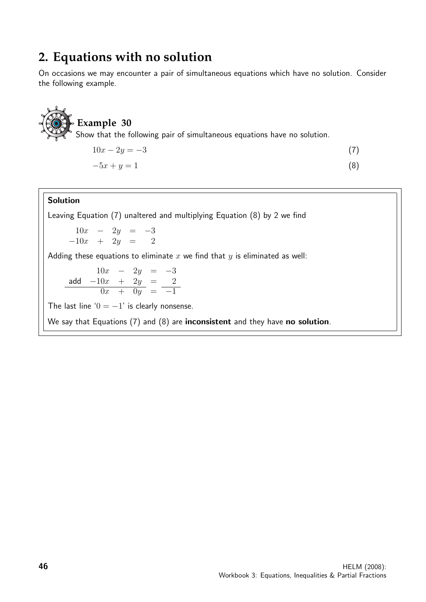### **2. Equations with no solution**

On occasions we may encounter a pair of simultaneous equations which have no solution. Consider the following example.



#### **Example 30**

Show that the following pair of simultaneous equations have no solution.

$$
10x - 2y = -3\tag{7}
$$

$$
-5x + y = 1\tag{8}
$$

#### Solution

Leaving Equation (7) unaltered and multiplying Equation (8) by 2 we find

 $10x - 2y = -3$  $-10x + 2y = 2$ 

Adding these equations to eliminate  $x$  we find that  $y$  is eliminated as well:

 $10x - 2y = -3$ add  $-10x + 2y = 2$  $0x + 0y = -1$ 

The last line ' $0 = -1$ ' is clearly nonsense.

We say that Equations (7) and (8) are inconsistent and they have no solution.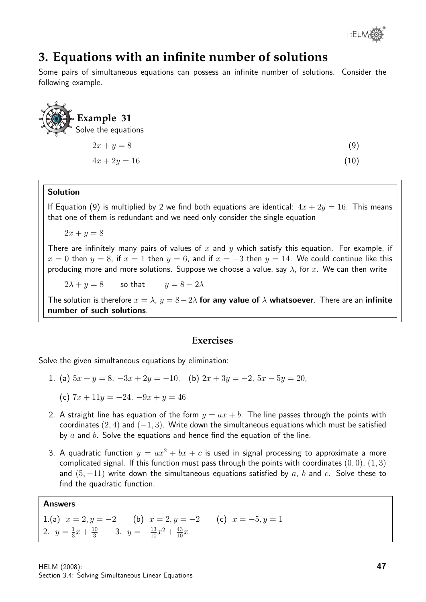

## **3. Equations with an infinite number of solutions**

Some pairs of simultaneous equations can possess an infinite number of solutions. Consider the following example.

| <b>DEXample 31</b><br>$\sqrt{\ }$ Solve the equations |      |
|-------------------------------------------------------|------|
| $2x + y = 8$                                          | (9)  |
| $4x + 2y = 16$                                        | (10) |

#### Solution

If Equation (9) is multiplied by 2 we find both equations are identical:  $4x + 2y = 16$ . This means that one of them is redundant and we need only consider the single equation

 $2x + y = 8$ 

There are infinitely many pairs of values of x and y which satisfy this equation. For example, if  $x = 0$  then  $y = 8$ , if  $x = 1$  then  $y = 6$ , and if  $x = -3$  then  $y = 14$ . We could continue like this producing more and more solutions. Suppose we choose a value, say  $\lambda$ , for x. We can then write

 $2\lambda + y = 8$  so that  $y = 8 - 2\lambda$ 

The solution is therefore  $x = \lambda$ ,  $y = 8-2\lambda$  for any value of  $\lambda$  whatsoever. There are an infinite number of such solutions.

#### **Exercises**

Solve the given simultaneous equations by elimination:

- 1. (a)  $5x + y = 8$ ,  $-3x + 2y = -10$ , (b)  $2x + 3y = -2$ ,  $5x 5y = 20$ ,
	- (c)  $7x + 11y = -24$ ,  $-9x + y = 46$
- 2. A straight line has equation of the form  $y = ax + b$ . The line passes through the points with coordinates  $(2, 4)$  and  $(-1, 3)$ . Write down the simultaneous equations which must be satisfied by a and b. Solve the equations and hence find the equation of the line.
- 3. A quadratic function  $y = ax^2 + bx + c$  is used in signal processing to approximate a more complicated signal. If this function must pass through the points with coordinates  $(0,0)$ ,  $(1,3)$ and  $(5, -11)$  write down the simultaneous equations satisfied by a, b and c. Solve these to find the quadratic function.

#### Answers

1.(a)  $x = 2, y = -2$  (b)  $x = 2, y = -2$  (c)  $x = -5, y = 1$ 2.  $y=\frac{1}{3}$  $\frac{1}{3}x + \frac{10}{3}$  $rac{10}{3}$  3.  $y = -\frac{13}{10}x^2 + \frac{43}{10}x$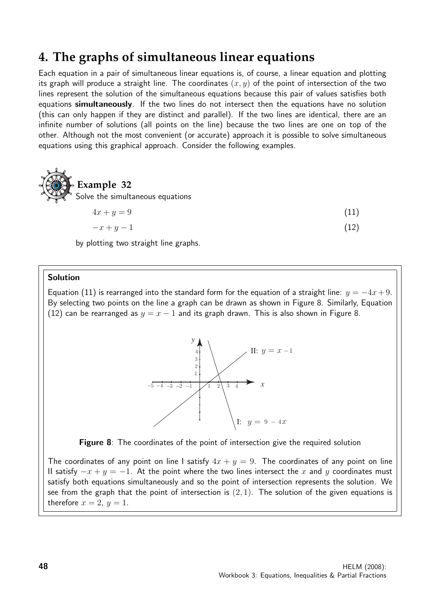# **4. The graphs of simultaneous linear equations**

Each equation in a pair of simultaneous linear equations is, of course, a linear equation and plotting its graph will produce a straight line. The coordinates  $(x, y)$  of the point of intersection of the two lines represent the solution of the simultaneous equations because this pair of values satisfies both equations simultaneously. If the two lines do not intersect then the equations have no solution (this can only happen if they are distinct and parallel). If the two lines are identical, there are an infinite number of solutions (all points on the line) because the two lines are one on top of the other. Although not the most convenient (or accurate) approach it is possible to solve simultaneous equations using this graphical approach. Consider the following examples.



by plotting two straight line graphs.

#### Solution

Equation (11) is rearranged into the standard form for the equation of a straight line:  $y = -4x + 9$ . By selecting two points on the line a graph can be drawn as shown in Figure 8. Similarly, Equation (12) can be rearranged as  $y = x - 1$  and its graph drawn. This is also shown in Figure 8.



Figure 8: The coordinates of the point of intersection give the required solution

The coordinates of any point on line I satisfy  $4x + y = 9$ . The coordinates of any point on line II satisfy  $-x + y = -1$ . At the point where the two lines intersect the x and y coordinates must satisfy both equations simultaneously and so the point of intersection represents the solution. We see from the graph that the point of intersection is  $(2, 1)$ . The solution of the given equations is therefore  $x = 2$ ,  $y = 1$ .